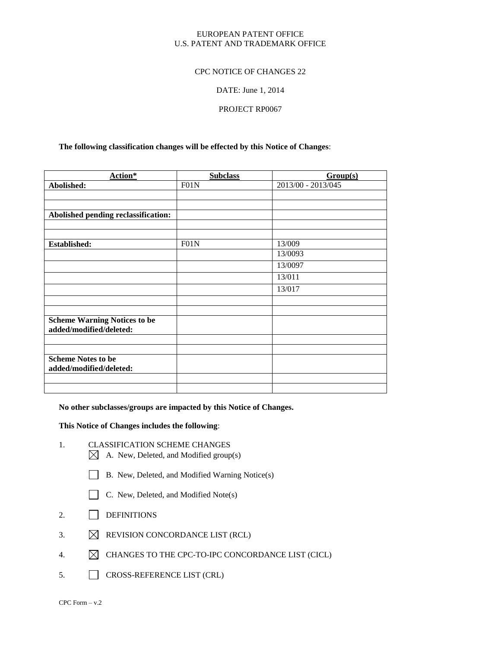#### EUROPEAN PATENT OFFICE U.S. PATENT AND TRADEMARK OFFICE

#### CPC NOTICE OF CHANGES 22

#### DATE: June 1, 2014

### PROJECT RP0067

#### **The following classification changes will be effected by this Notice of Changes**:

| Action*                                                        | <b>Subclass</b>   | Group(s)           |
|----------------------------------------------------------------|-------------------|--------------------|
| Abolished:                                                     | F01N              | 2013/00 - 2013/045 |
|                                                                |                   |                    |
|                                                                |                   |                    |
| Abolished pending reclassification:                            |                   |                    |
|                                                                |                   |                    |
|                                                                |                   |                    |
| Established:                                                   | F <sub>01</sub> N | 13/009             |
|                                                                |                   | 13/0093            |
|                                                                |                   | 13/0097            |
|                                                                |                   | 13/011             |
|                                                                |                   | 13/017             |
|                                                                |                   |                    |
|                                                                |                   |                    |
| <b>Scheme Warning Notices to be</b><br>added/modified/deleted: |                   |                    |
|                                                                |                   |                    |
|                                                                |                   |                    |
| <b>Scheme Notes to be</b><br>added/modified/deleted:           |                   |                    |
|                                                                |                   |                    |
|                                                                |                   |                    |

**No other subclasses/groups are impacted by this Notice of Changes.**

#### **This Notice of Changes includes the following**:

- 1. CLASSIFICATION SCHEME CHANGES
	- $\boxtimes$  A. New, Deleted, and Modified group(s)
	- B. New, Deleted, and Modified Warning Notice(s)
	- C. New, Deleted, and Modified Note(s)
- 2. DEFINITIONS
- 3.  $\boxtimes$  REVISION CONCORDANCE LIST (RCL)
- 4.  $\boxtimes$  CHANGES TO THE CPC-TO-IPC CONCORDANCE LIST (CICL)
- 5. CROSS-REFERENCE LIST (CRL)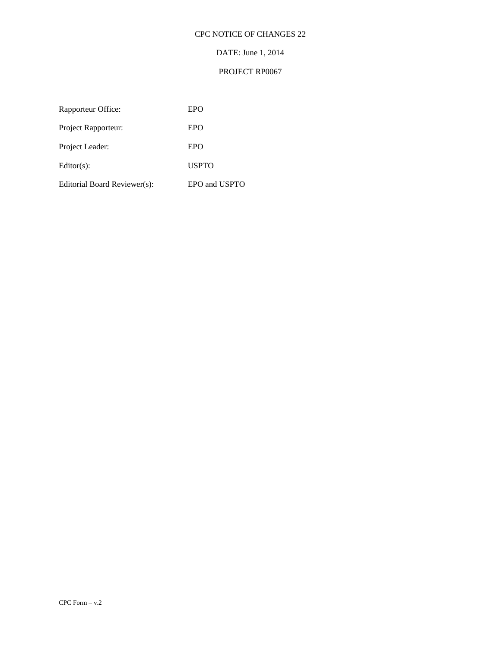# CPC NOTICE OF CHANGES 22

# DATE: June 1, 2014

# PROJECT RP0067

| Rapporteur Office:           | EPO           |
|------------------------------|---------------|
| Project Rapporteur:          | EPO           |
| Project Leader:              | EPO           |
| $Editor(s)$ :                | <b>USPTO</b>  |
| Editorial Board Reviewer(s): | EPO and USPTO |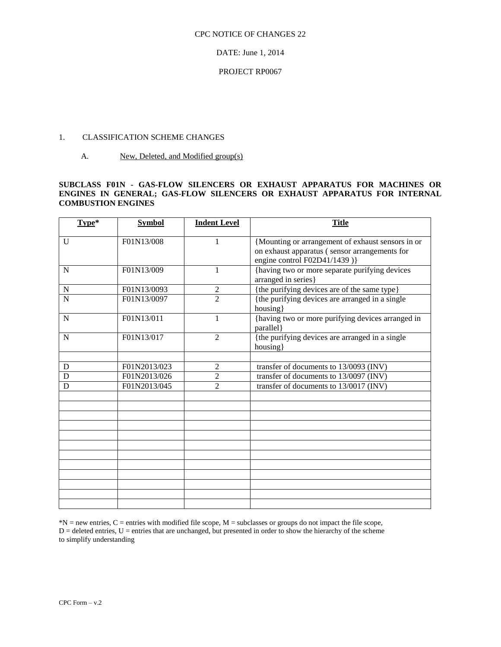#### CPC NOTICE OF CHANGES 22

DATE: June 1, 2014

#### PROJECT RP0067

# 1. CLASSIFICATION SCHEME CHANGES

A. New, Deleted, and Modified group(s)

#### **SUBCLASS F01N - GAS-FLOW SILENCERS OR EXHAUST APPARATUS FOR MACHINES OR ENGINES IN GENERAL; GAS-FLOW SILENCERS OR EXHAUST APPARATUS FOR INTERNAL COMBUSTION ENGINES**

| Type*              | <b>Symbol</b> | <b>Indent Level</b> | <b>Title</b>                                                                                                                       |  |
|--------------------|---------------|---------------------|------------------------------------------------------------------------------------------------------------------------------------|--|
| U                  | F01N13/008    | 1                   | {Mounting or arrangement of exhaust sensors in or<br>on exhaust apparatus (sensor arrangements for<br>engine control F02D41/1439)} |  |
| $\mathbf N$        | F01N13/009    | 1                   | {having two or more separate purifying devices<br>arranged in series}                                                              |  |
| ${\bf N}$          | F01N13/0093   | $\overline{2}$      | {the purifying devices are of the same type}                                                                                       |  |
| $\overline{\rm N}$ | F01N13/0097   | $\mathfrak{D}$      | {the purifying devices are arranged in a single<br>housing}                                                                        |  |
| $\mathbf N$        | F01N13/011    | 1                   | {having two or more purifying devices arranged in<br>parallel}                                                                     |  |
| $\mathbf N$        | F01N13/017    | $\overline{2}$      | {the purifying devices are arranged in a single<br>housing}                                                                        |  |
|                    |               |                     |                                                                                                                                    |  |
| D                  | F01N2013/023  | 2                   | transfer of documents to 13/0093 (INV)                                                                                             |  |
| D                  | F01N2013/026  | $\overline{2}$      | transfer of documents to 13/0097 (INV)                                                                                             |  |
| D                  | F01N2013/045  | $\overline{c}$      | transfer of documents to 13/0017 (INV)                                                                                             |  |
|                    |               |                     |                                                                                                                                    |  |
|                    |               |                     |                                                                                                                                    |  |
|                    |               |                     |                                                                                                                                    |  |
|                    |               |                     |                                                                                                                                    |  |
|                    |               |                     |                                                                                                                                    |  |
|                    |               |                     |                                                                                                                                    |  |
|                    |               |                     |                                                                                                                                    |  |
|                    |               |                     |                                                                                                                                    |  |
|                    |               |                     |                                                                                                                                    |  |
|                    |               |                     |                                                                                                                                    |  |

\*N = new entries, C = entries with modified file scope, M = subclasses or groups do not impact the file scope, D = deleted entries, U = entries that are unchanged, but presented in order to show the hierarchy of the scheme to simplify understanding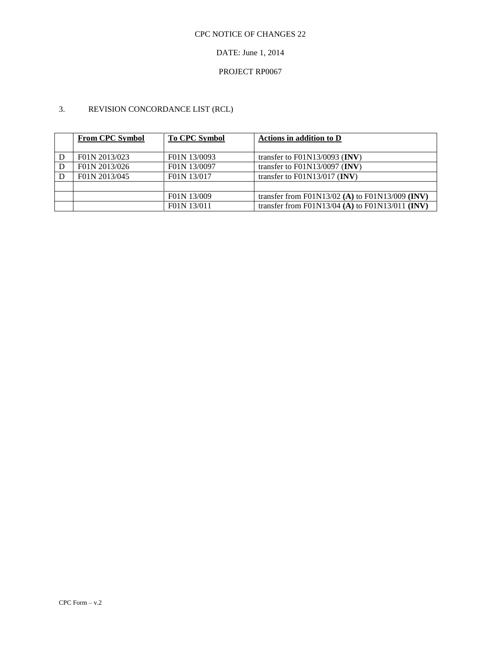# DATE: June 1, 2014

# PROJECT RP0067

# 3. REVISION CONCORDANCE LIST (RCL)

| <b>From CPC Symbol</b> | <b>To CPC Symbol</b> | Actions in addition to D                        |
|------------------------|----------------------|-------------------------------------------------|
|                        |                      |                                                 |
| F01N 2013/023          | F01N 13/0093         | transfer to $F01N13/0093$ (INV)                 |
| F01N 2013/026          | F01N 13/0097         | transfer to $F01N13/0097$ (INV)                 |
| F01N 2013/045          | F01N 13/017          | transfer to $F01N13/017$ (INV)                  |
|                        |                      |                                                 |
|                        | F01N 13/009          | transfer from F01N13/02 (A) to F01N13/009 (INV) |
|                        | F01N 13/011          | transfer from F01N13/04 (A) to F01N13/011 (INV) |